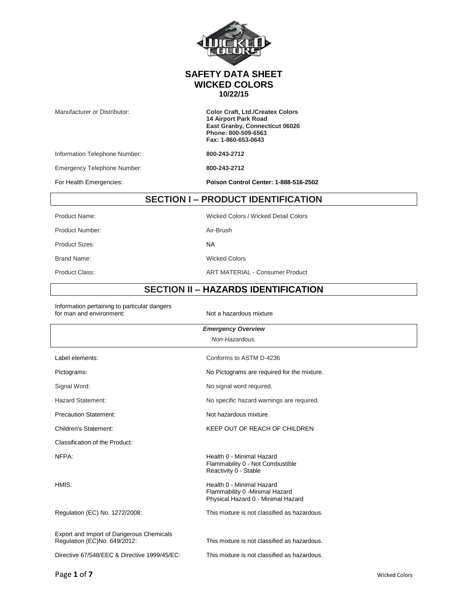|                                         | <b>SAFETY DATA SHEET</b><br><b>WICKED COLORS</b><br>10/22/15                                                                                           |  |
|-----------------------------------------|--------------------------------------------------------------------------------------------------------------------------------------------------------|--|
| Manufacturer or Distributor:            | <b>Color Craft, Ltd./Createx Colors</b><br><b>14 Airport Park Road</b><br>East Granby, Connecticut 06026<br>Phone: 800-509-6563<br>Fax: 1-860-653-0643 |  |
| Information Telephone Number:           | 800-243-2712                                                                                                                                           |  |
| Emergency Telephone Number:             | 800-243-2712                                                                                                                                           |  |
| For Health Emergencies:                 | Poison Control Center: 1-888-516-2502                                                                                                                  |  |
| <b>SECTION I-PRODUCT IDENTIFICATION</b> |                                                                                                                                                        |  |
| Product Name:                           | Wicked Colors / Wicked Detail Colors                                                                                                                   |  |
| Product Number:                         | Air-Brush                                                                                                                                              |  |
| <b>Product Sizes:</b>                   | <b>NA</b>                                                                                                                                              |  |
| <b>Brand Name:</b>                      | <b>Wicked Colors</b>                                                                                                                                   |  |
|                                         |                                                                                                                                                        |  |

Product Class: ART MATERIAL - Consumer Product

#### **SECTION II – HAZARDS IDENTIFICATION**

Information pertaining to particular dangers for man and environment:  $\blacksquare$  Not a hazardous mixture

| <b>Emergency Overview</b>                                                |                                                                                                    |  |
|--------------------------------------------------------------------------|----------------------------------------------------------------------------------------------------|--|
| Non-Hazardous.                                                           |                                                                                                    |  |
| Label elements:                                                          | Conforms to ASTM D-4236                                                                            |  |
| Pictograms:                                                              | No Pictograms are required for the mixture.                                                        |  |
| Signal Word:                                                             | No signal word required.                                                                           |  |
| <b>Hazard Statement:</b>                                                 | No specific hazard warnings are required.                                                          |  |
| <b>Precaution Statement:</b>                                             | Not hazardous mixture.                                                                             |  |
| Children's Statement:                                                    | KEEP OUT OF REACH OF CHILDREN                                                                      |  |
| Classification of the Product:                                           |                                                                                                    |  |
| NFPA:                                                                    | Health 0 - Minimal Hazard<br>Flammability 0 - Not Combustible<br>Reactivity 0 - Stable             |  |
| HMIS:                                                                    | Health 0 - Minimal Hazard<br>Flammability 0 - Minimal Hazard<br>Physical Hazard 0 - Minimal Hazard |  |
| Regulation (EC) No. 1272/2008:                                           | This mixture is not classified as hazardous.                                                       |  |
| Export and Import of Dangerous Chemicals<br>Regulation (EC)No. 649/2012: | This mixture is not classified as hazardous.                                                       |  |
| Directive 67/548/EEC & Directive 1999/45/EC:                             | This mixture is not classified as hazardous.                                                       |  |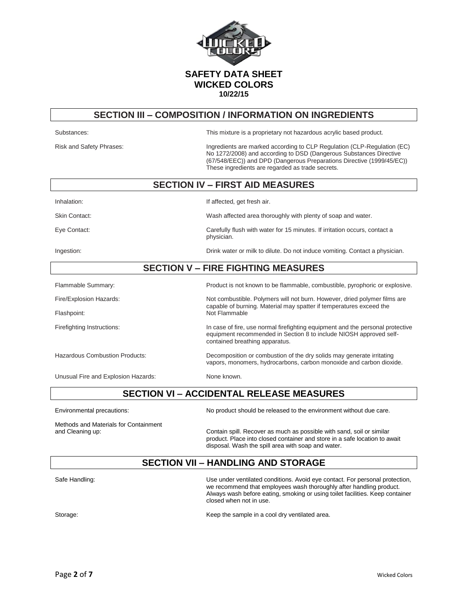

### **SECTION III – COMPOSITION / INFORMATION ON INGREDIENTS**

| Substances:                               | This mixture is a proprietary not hazardous acrylic based product.                                                                                                                                                                                                         |  |
|-------------------------------------------|----------------------------------------------------------------------------------------------------------------------------------------------------------------------------------------------------------------------------------------------------------------------------|--|
| Risk and Safety Phrases:                  | Ingredients are marked according to CLP Regulation (CLP-Regulation (EC)<br>No 1272/2008) and according to DSD (Dangerous Substances Directive<br>(67/548/EEC)) and DPD (Dangerous Preparations Directive (1999/45/EC))<br>These ingredients are regarded as trade secrets. |  |
| <b>SECTION IV - FIRST AID MEASURES</b>    |                                                                                                                                                                                                                                                                            |  |
| Inhalation:                               | If affected, get fresh air.                                                                                                                                                                                                                                                |  |
| <b>Skin Contact:</b>                      | Wash affected area thoroughly with plenty of soap and water.                                                                                                                                                                                                               |  |
| Eye Contact:                              | Carefully flush with water for 15 minutes. If irritation occurs, contact a<br>physician.                                                                                                                                                                                   |  |
| Ingestion:                                | Drink water or milk to dilute. Do not induce vomiting. Contact a physician.                                                                                                                                                                                                |  |
| <b>SECTION V - FIRE FIGHTING MEASURES</b> |                                                                                                                                                                                                                                                                            |  |
| Flammable Summary:                        | Product is not known to be flammable, combustible, pyrophoric or explosive.                                                                                                                                                                                                |  |
| Fire/Explosion Hazards:                   | Not combustible. Polymers will not burn. However, dried polymer films are                                                                                                                                                                                                  |  |
| Flashpoint:                               | capable of burning. Material may spatter if temperatures exceed the<br>Not Flammable                                                                                                                                                                                       |  |
| Firefighting Instructions:                | In case of fire, use normal firefighting equipment and the personal protective<br>equipment recommended in Section 8 to include NIOSH approved self-<br>contained breathing apparatus.                                                                                     |  |
| <b>Hazardous Combustion Products:</b>     | Decomposition or combustion of the dry solids may generate irritating<br>vapors, monomers, hydrocarbons, carbon monoxide and carbon dioxide.                                                                                                                               |  |
| Unusual Fire and Explosion Hazards:       | None known.                                                                                                                                                                                                                                                                |  |

**SECTION VI – ACCIDENTAL RELEASE MEASURES**

Environmental precautions: No product should be released to the environment without due care.

Methods and Materials for Containment

and Cleaning up: Contain spill. Recover as much as possible with sand, soil or similar product. Place into closed container and store in a safe location to await disposal. Wash the spill area with soap and water.

### **SECTION VII – HANDLING AND STORAGE**

Safe Handling: Use under ventilated conditions. Avoid eye contact. For personal protection, we recommend that employees wash thoroughly after handling product. Always wash before eating, smoking or using toilet facilities. Keep container closed when not in use.

Storage: Storage: Storage: Storage: Storage: Storage: Storage: Storage: Storage: Storage: Storage: Storage: Storage: Storage: Storage: Storage: Storage: Storage: Storage: Storage: Storage: Storage: Storage: Storage: Storag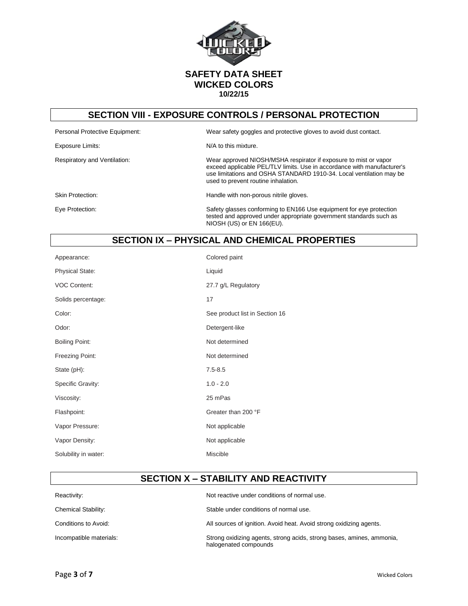

### **SECTION VIII - EXPOSURE CONTROLS / PERSONAL PROTECTION**

Exposure Limits: N/A to this mixture.

Respiratory and Ventilation: Wear approved NIOSH/MSHA respirator if exposure to mist or vapor

Personal Protective Equipment: Wear safety goggles and protective gloves to avoid dust contact.

Skin Protection: **Handle with non-porous nitrile gloves.** 

used to prevent routine inhalation.

Eye Protection: Safety glasses conforming to EN166 Use equipment for eye protection tested and approved under appropriate government standards such as NIOSH (US) or EN 166(EU).

exceed applicable PEL/TLV limits. Use in accordance with manufacturer's use limitations and OSHA STANDARD 1910-34. Local ventilation may be

### **SECTION IX – PHYSICAL AND CHEMICAL PROPERTIES**

| Appearance:            | Colored paint                  |
|------------------------|--------------------------------|
| <b>Physical State:</b> | Liquid                         |
| <b>VOC Content:</b>    | 27.7 g/L Regulatory            |
| Solids percentage:     | 17                             |
| Color:                 | See product list in Section 16 |
| Odor:                  | Detergent-like                 |
| <b>Boiling Point:</b>  | Not determined                 |
| Freezing Point:        | Not determined                 |
| State (pH):            | $7.5 - 8.5$                    |
| Specific Gravity:      | $1.0 - 2.0$                    |
| Viscosity:             | 25 mPas                        |
| Flashpoint:            | Greater than 200 °F            |
| Vapor Pressure:        | Not applicable                 |
| Vapor Density:         | Not applicable                 |
| Solubility in water:   | Miscible                       |

#### **SECTION X – STABILITY AND REACTIVITY**

| Reactivity:                | Not reactive under conditions of normal use.                                                   |
|----------------------------|------------------------------------------------------------------------------------------------|
| <b>Chemical Stability:</b> | Stable under conditions of normal use.                                                         |
| Conditions to Avoid:       | All sources of ignition. Avoid heat. Avoid strong oxidizing agents.                            |
| Incompatible materials:    | Strong oxidizing agents, strong acids, strong bases, amines, ammonia,<br>halogenated compounds |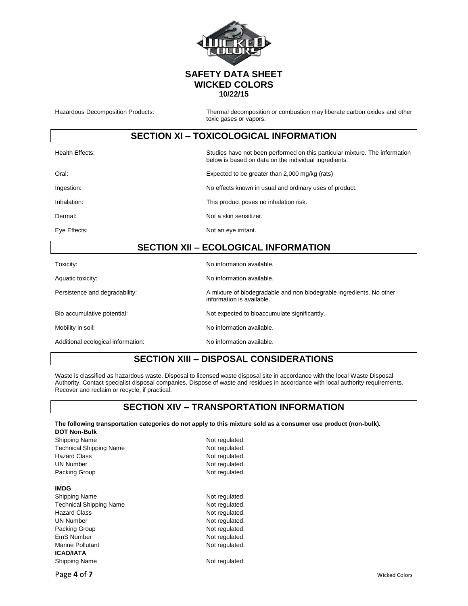

Hazardous Decomposition Products: Thermal decomposition or combustion may liberate carbon oxides and other toxic gases or vapors.

### **SECTION XI – TOXICOLOGICAL INFORMATION**

| Health Effects: | Studies have not been performed on this particular mixture. The information<br>below is based on data on the individual ingredients. |
|-----------------|--------------------------------------------------------------------------------------------------------------------------------------|
| Oral:           | Expected to be greater than 2,000 mg/kg (rats)                                                                                       |
| Ingestion:      | No effects known in usual and ordinary uses of product.                                                                              |
| Inhalation:     | This product poses no inhalation risk.                                                                                               |
| Dermal:         | Not a skin sensitizer.                                                                                                               |
| Eye Effects:    | Not an eye irritant.                                                                                                                 |

## **SECTION XII – ECOLOGICAL INFORMATION**

| Toxicity:                          | No information available.                                                                         |
|------------------------------------|---------------------------------------------------------------------------------------------------|
| Aquatic toxicity:                  | No information available.                                                                         |
| Persistence and degradability:     | A mixture of biodegradable and non biodegrable ingredients. No other<br>information is available. |
| Bio accumulative potential:        | Not expected to bioaccumulate significantly.                                                      |
| Mobility in soil:                  | No information available.                                                                         |
| Additional ecological information: | No information available.                                                                         |

# **SECTION XIII – DISPOSAL CONSIDERATIONS**

Waste is classified as hazardous waste. Disposal to licensed waste disposal site in accordance with the local Waste Disposal Authority. Contact specialist disposal companies. Dispose of waste and residues in accordance with local authority requirements. Recover and reclaim or recycle, if practical.

### **SECTION XIV – TRANSPORTATION INFORMATION**

#### **The following transportation categories do not apply to this mixture sold as a consumer use product (non-bulk).**

| <b>DOT Non-Bulk</b>            |                |
|--------------------------------|----------------|
| Shipping Name                  | Not regulated. |
| <b>Technical Shipping Name</b> | Not regulated. |
| <b>Hazard Class</b>            | Not regulated. |
| <b>UN Number</b>               | Not regulated. |
| Packing Group                  | Not regulated. |
| <b>IMDG</b>                    |                |
| Shipping Name                  | Not regulated. |
| <b>Technical Shipping Name</b> | Not regulated. |
| <b>Hazard Class</b>            | Not regulated. |
| <b>UN Number</b>               | Not regulated. |
| Packing Group                  | Not regulated. |
| EmS Number                     | Not regulated. |
| Marine Pollutant               | Not regulated. |
| <b>ICAO/IATA</b>               |                |
| Shipping Name                  | Not regulated. |
|                                |                |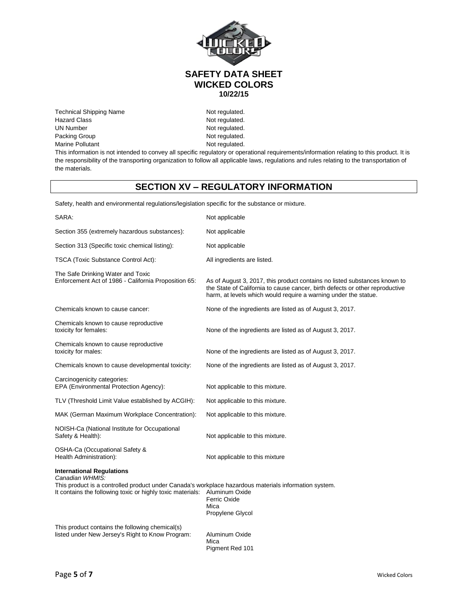

Technical Shipping Name Not regulated. Hazard Class Not regulated. UN Number Not regulated. Packing Group Not regulated.<br>
Marine Pollutant Marine Solution Communication of the Not regulated. Marine Pollutant

This information is not intended to convey all specific regulatory or operational requirements/information relating to this product. It is the responsibility of the transporting organization to follow all applicable laws, regulations and rules relating to the transportation of the materials.

### **SECTION XV – REGULATORY INFORMATION**

Safety, health and environmental regulations/legislation specific for the substance or mixture.

| SARA:                                                                                                                                                                                                                      | Not applicable                                                                                                                                                                                                               |
|----------------------------------------------------------------------------------------------------------------------------------------------------------------------------------------------------------------------------|------------------------------------------------------------------------------------------------------------------------------------------------------------------------------------------------------------------------------|
| Section 355 (extremely hazardous substances):                                                                                                                                                                              | Not applicable                                                                                                                                                                                                               |
| Section 313 (Specific toxic chemical listing):                                                                                                                                                                             | Not applicable                                                                                                                                                                                                               |
| TSCA (Toxic Substance Control Act):                                                                                                                                                                                        | All ingredients are listed.                                                                                                                                                                                                  |
| The Safe Drinking Water and Toxic<br>Enforcement Act of 1986 - California Proposition 65:                                                                                                                                  | As of August 3, 2017, this product contains no listed substances known to<br>the State of California to cause cancer, birth defects or other reproductive<br>harm, at levels which would require a warning under the statue. |
| Chemicals known to cause cancer:                                                                                                                                                                                           | None of the ingredients are listed as of August 3, 2017.                                                                                                                                                                     |
| Chemicals known to cause reproductive<br>toxicity for females:                                                                                                                                                             | None of the ingredients are listed as of August 3, 2017.                                                                                                                                                                     |
| Chemicals known to cause reproductive<br>toxicity for males:                                                                                                                                                               | None of the ingredients are listed as of August 3, 2017.                                                                                                                                                                     |
| Chemicals known to cause developmental toxicity:                                                                                                                                                                           | None of the ingredients are listed as of August 3, 2017.                                                                                                                                                                     |
| Carcinogenicity categories:<br>EPA (Environmental Protection Agency):                                                                                                                                                      | Not applicable to this mixture.                                                                                                                                                                                              |
| TLV (Threshold Limit Value established by ACGIH):                                                                                                                                                                          | Not applicable to this mixture.                                                                                                                                                                                              |
| MAK (German Maximum Workplace Concentration):                                                                                                                                                                              | Not applicable to this mixture.                                                                                                                                                                                              |
| NOISH-Ca (National Institute for Occupational<br>Safety & Health):                                                                                                                                                         | Not applicable to this mixture.                                                                                                                                                                                              |
| OSHA-Ca (Occupational Safety &<br>Health Administration):                                                                                                                                                                  | Not applicable to this mixture                                                                                                                                                                                               |
| <b>International Regulations</b><br>Canadian WHMIS:<br>This product is a controlled product under Canada's workplace hazardous materials information system.<br>It contains the following toxic or highly toxic materials: | Aluminum Oxide<br>Ferric Oxide<br>Mica<br>Propylene Glycol                                                                                                                                                                   |
| This product contains the following chemical(s)<br>listed under New Jersey's Right to Know Program:                                                                                                                        | Aluminum Oxide<br>Mica<br>Pigment Red 101                                                                                                                                                                                    |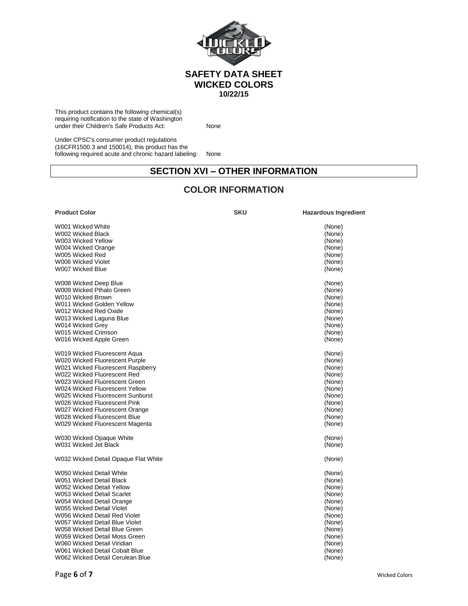

This product contains the following chemical(s) requiring notification to the state of Washington under their Children's Safe Products Act: None

Under CPSC's consumer product regulations (16CFR1500.3 and 150014), this product has the following required acute and chronic hazard labeling: None

### **SECTION XVI – OTHER INFORMATION**

## **COLOR INFORMATION**

| <b>Product Color</b>                 | <b>SKU</b> | <b>Hazardous Ingredient</b> |
|--------------------------------------|------------|-----------------------------|
| W001 Wicked White                    |            | (None)                      |
| W002 Wicked Black                    |            | (None)                      |
| W003 Wicked Yellow                   |            | (None)                      |
| W004 Wicked Orange                   |            | (None)                      |
| W005 Wicked Red                      |            | (None)                      |
| W006 Wicked Violet                   |            | (None)                      |
| W007 Wicked Blue                     |            | (None)                      |
| W008 Wicked Deep Blue                |            | (None)                      |
| W009 Wicked Pthalo Green             |            | (None)                      |
| W010 Wicked Brown                    |            | (None)                      |
| W011 Wicked Golden Yellow            |            | (None)                      |
| W012 Wicked Red Oxide                |            | (None)                      |
| W013 Wicked Laguna Blue              |            | (None)                      |
| W014 Wicked Grey                     |            | (None)                      |
| W015 Wicked Crimson                  |            | (None)                      |
| W016 Wicked Apple Green              |            | (None)                      |
| W019 Wicked Fluorescent Aqua         |            | (None)                      |
| W020 Wicked Fluorescent Purple       |            | (None)                      |
| W021 Wicked Fluorescent Raspberry    |            | (None)                      |
| W022 Wicked Fluorescent Red          |            | (None)                      |
| W023 Wicked Fluorescent Green        |            | (None)                      |
| W024 Wicked Fluorescent Yellow       |            | (None)                      |
| W025 Wicked Fluorescent Sunburst     |            | (None)                      |
| W026 Wicked Fluorescent Pink         |            | (None)                      |
| W027 Wicked Fluorescent Orange       |            | (None)                      |
| W028 Wicked Fluorescent Blue         |            | (None)                      |
| W029 Wicked Fluorescent Magenta      |            | (None)                      |
| W030 Wicked Opaque White             |            | (None)                      |
| W031 Wicked Jet Black                |            | (None)                      |
| W032 Wicked Detail Opaque Flat White |            | (None)                      |
| W050 Wicked Detail White             |            | (None)                      |
| W051 Wicked Detail Black             |            | (None)                      |
| W052 Wicked Detail Yellow            |            | (None)                      |
| W053 Wicked Detail Scarlet           |            | (None)                      |
| W054 Wicked Detail Orange            |            | (None)                      |
| W055 Wicked Detail Violet            |            | (None)                      |
| W056 Wicked Detail Red Violet        |            | (None)                      |
| W057 Wicked Detail Blue Violet       |            | (None)                      |
| W058 Wicked Detail Blue Green        |            | (None)                      |
| W059 Wicked Detail Moss Green        |            | (None)                      |
| W060 Wicked Detail Viridian          |            | (None)                      |
| W061 Wicked Detail Cobalt Blue       |            | (None)                      |
| W062 Wicked Detail Cerulean Blue     |            | (None)                      |